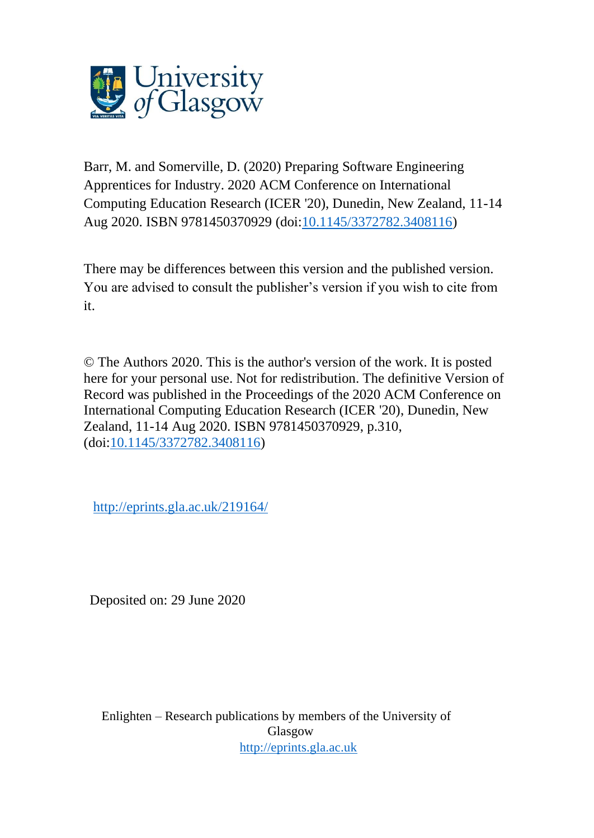

Barr, M. and Somerville, D. (2020) Preparing Software Engineering Apprentices for Industry. 2020 ACM Conference on International Computing Education Research (ICER '20), Dunedin, New Zealand, 11-14 Aug 2020. ISBN 9781450370929 (doi[:10.1145/3372782.3408116\)](http://dx.doi.org/10.1145/3372782.3408116)

There may be differences between this version and the published version. You are advised to consult the publisher's version if you wish to cite from it.

© The Authors 2020. This is the author's version of the work. It is posted here for your personal use. Not for redistribution. The definitive Version of Record was published in the Proceedings of the 2020 ACM Conference on International Computing Education Research (ICER '20), Dunedin, New Zealand, 11-14 Aug 2020. ISBN 9781450370929, p.310, (doi[:10.1145/3372782.3408116\)](http://dx.doi.org/10.1145/3372782.3408116)

<http://eprints.gla.ac.uk/219164/>

Deposited on: 29 June 2020

Enlighten – Research publications by members of the University of Glasgow [http://eprints.gla.ac.uk](http://eprints.gla.ac.uk/)